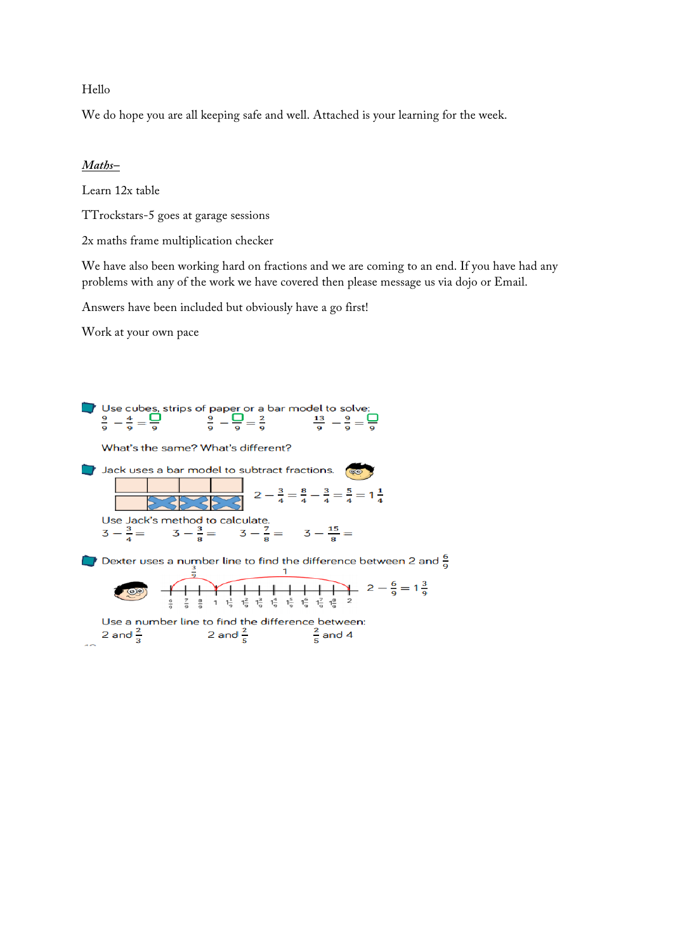#### Hello

We do hope you are all keeping safe and well. Attached is your learning for the week.

#### *Maths–*

Learn 12x table

TTrockstars-5 goes at garage sessions

2x maths frame multiplication checker

We have also been working hard on fractions and we are coming to an end. If you have had any problems with any of the work we have covered then please message us via dojo or Email.

Answers have been included but obviously have a go first!

Work at your own pace



Use a number line to find the difference between:<br>2 and  $\frac{2}{3}$  2 and  $\frac{2}{5}$   $\frac{2}{5}$  and 4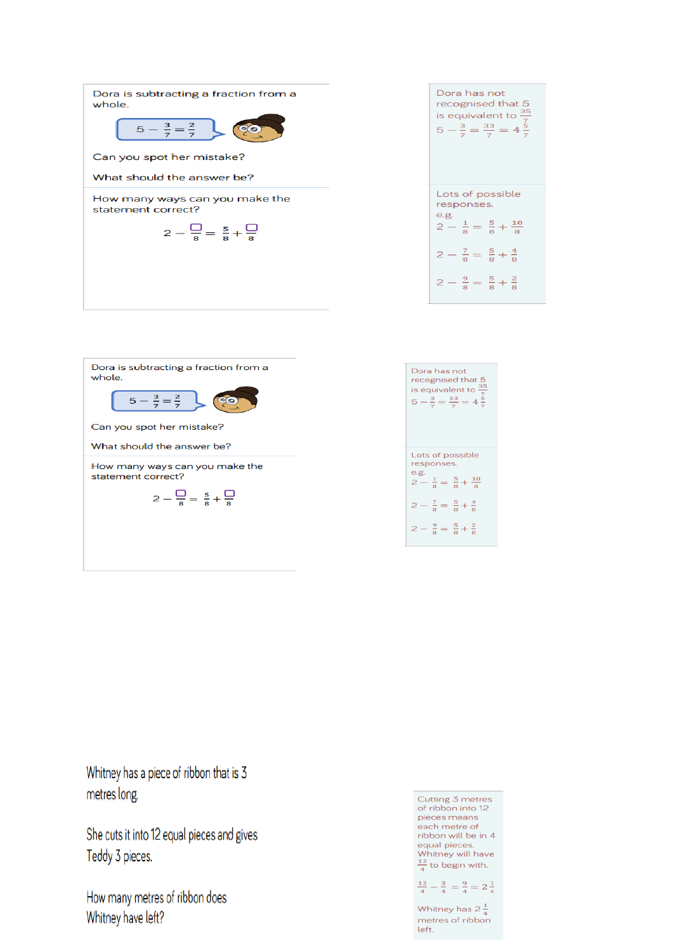| Dora is subtracting a fraction from a<br>whole.      |
|------------------------------------------------------|
| $5 - \frac{3}{7} = \frac{2}{7}$                      |
| Can you spot her mistake?                            |
| What should the answer be?                           |
| How many ways can you make the<br>statement correct? |
| $2 - \frac{1}{8} = \frac{5}{8} + \frac{1}{8}$        |
|                                                      |
|                                                      |
|                                                      |

| Dora has not<br>recognised that 5<br>is equivalent to $\frac{35}{7}$<br>5 - $\frac{3}{7}$ = $\frac{33}{7}$ = 4 $\frac{5}{7}$ |  |  |  |  |  |
|------------------------------------------------------------------------------------------------------------------------------|--|--|--|--|--|
| Lots of possible                                                                                                             |  |  |  |  |  |
| responses.                                                                                                                   |  |  |  |  |  |
| e.g.<br>$2-\frac{1}{8}=\frac{5}{8}+\frac{10}{8}$                                                                             |  |  |  |  |  |
| $2-\frac{7}{8}=\frac{5}{8}+\frac{4}{8}$                                                                                      |  |  |  |  |  |
| $2 - \frac{9}{8} = \frac{5}{8} + \frac{2}{8}$                                                                                |  |  |  |  |  |



Whitney has a piece of ribbon that is 3 metres long.

She cuts it into 12 equal pieces and gives Teddy 3 pieces.

How many metres of ribbon does Whitney have left?

Cutting 3 metres of ribbon into 12 pieces means each metre of<br>ribbon will be in 4 reson mandeminers.<br>
equal pieces.<br>
Whitney will have  $\frac{12}{4}$  to begin with.

$$
\frac{12}{4} - \frac{3}{4} = \frac{9}{4} = 2\frac{1}{4}
$$

Whitney has  $2\frac{1}{4}$ metres of ribbon left.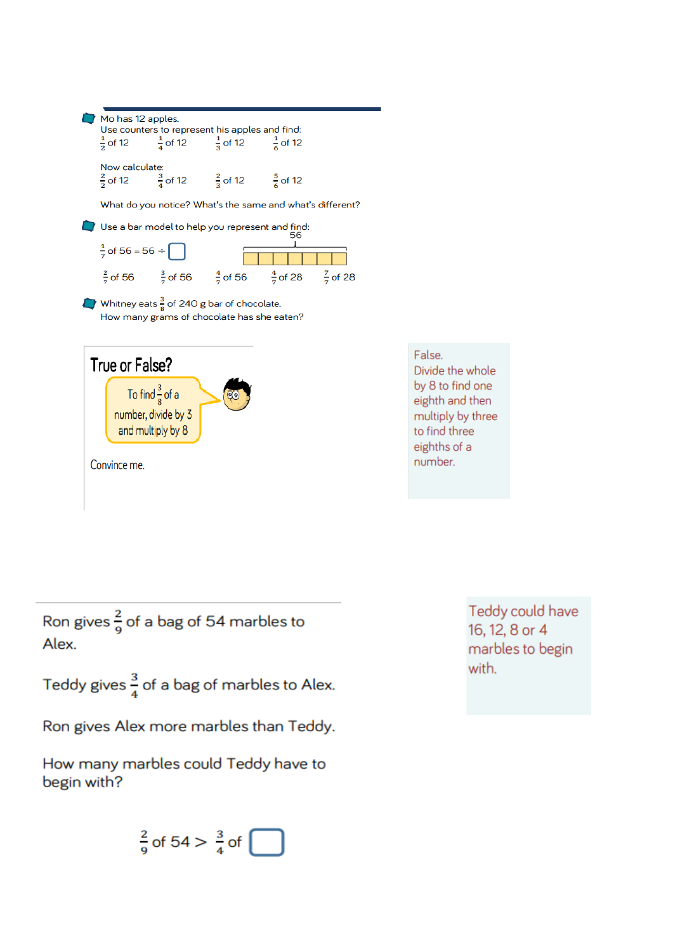|                                                       |                                                           | Use counters to represent his apples and find:<br>$\frac{1}{2}$ of 12 $\frac{1}{4}$ of 12 $\frac{1}{3}$ of 12 $\frac{1}{6}$ of 12 |                                                                                                     |  |  |  |  |
|-------------------------------------------------------|-----------------------------------------------------------|-----------------------------------------------------------------------------------------------------------------------------------|-----------------------------------------------------------------------------------------------------|--|--|--|--|
| Now calculate:                                        |                                                           | $\frac{2}{3}$ of 12 $\frac{3}{4}$ of 12 $\frac{2}{3}$ of 12 $\frac{5}{6}$ of 12                                                   |                                                                                                     |  |  |  |  |
|                                                       | What do you notice? What's the same and what's different? |                                                                                                                                   |                                                                                                     |  |  |  |  |
|                                                       |                                                           | Use a bar model to help you represent and find:                                                                                   | 56                                                                                                  |  |  |  |  |
| $\frac{1}{7}$ of 56 = 56 ÷                            |                                                           |                                                                                                                                   |                                                                                                     |  |  |  |  |
|                                                       |                                                           |                                                                                                                                   | $\frac{2}{7}$ of 56 $\frac{3}{7}$ of 56 $\frac{4}{7}$ of 56 $\frac{4}{7}$ of 28 $\frac{7}{7}$ of 28 |  |  |  |  |
| Whitney eats $\frac{3}{8}$ of 240 g bar of chocolate. |                                                           | How many grams of chocolate has she eaten?                                                                                        |                                                                                                     |  |  |  |  |
| True or False?                                        |                                                           |                                                                                                                                   |                                                                                                     |  |  |  |  |



Ron gives  $\frac{2}{9}$  of a bag of 54 marbles to Alex.

Teddy gives  $\frac{3}{4}$  of a bag of marbles to Alex.

Ron gives Alex more marbles than Teddy.

How many marbles could Teddy have to begin with?

$$
\frac{2}{9} \text{ of } 54 > \frac{3}{4} \text{ of } \boxed{\phantom{0}}
$$

Teddy could have 16, 12, 8 or 4 marbles to begin with.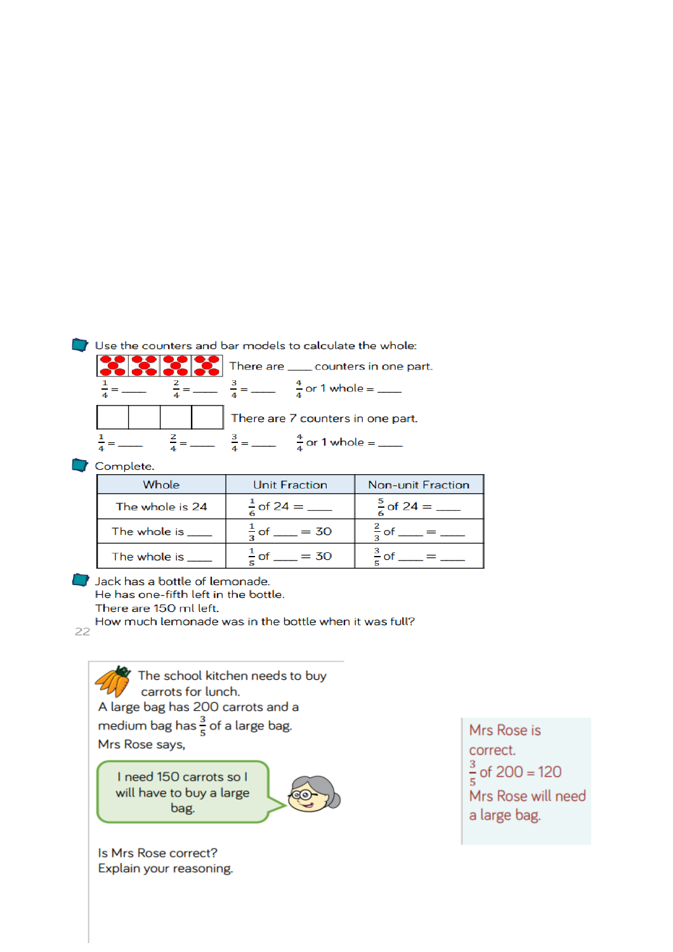# Use the counters and bar models to calculate the whole:

|  |  | There are _____ counters in one part. |
|--|--|---------------------------------------|
|  |  | $\frac{4}{4}$ or 1 whole = ____       |
|  |  | There are 7 counters in one part.     |
|  |  | $\frac{4}{1}$ or 1 whole = ____       |

# Complete.

| Whole             | <b>Unit Fraction</b>      | <b>Non-unit Fraction</b>    |
|-------------------|---------------------------|-----------------------------|
| The whole is 24   |                           | $\frac{5}{6}$ of 24 = _____ |
| The whole is      | $\frac{1}{2}$ of ___ = 30 |                             |
| The whole is ____ | $\frac{1}{5}$ of __ = 30  |                             |

# Jack has a bottle of lemonade.

He has one-fifth left in the bottle.

There are 150 ml left.

How much lemonade was in the bottle when it was full? 22

 $\mathcal G$  The school kitchen needs to buy carrots for lunch. A large bag has 200 carrots and a medium bag has  $\frac{3}{5}$  of a large bag. Mrs Rose says,

I need 150 carrots so I will have to buy a large bag.



Is Mrs Rose correct? Explain your reasoning.

Mrs Rose is correct.  $\frac{3}{5}$  of 200 = 120 Mrs Rose will need a large bag.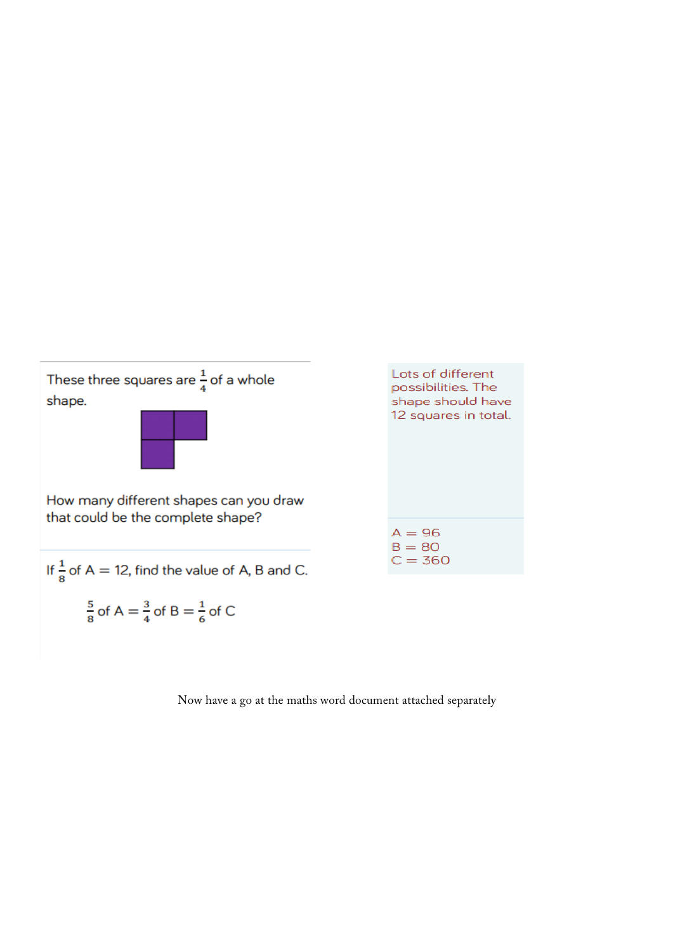

Now have a go at the maths word document attached separately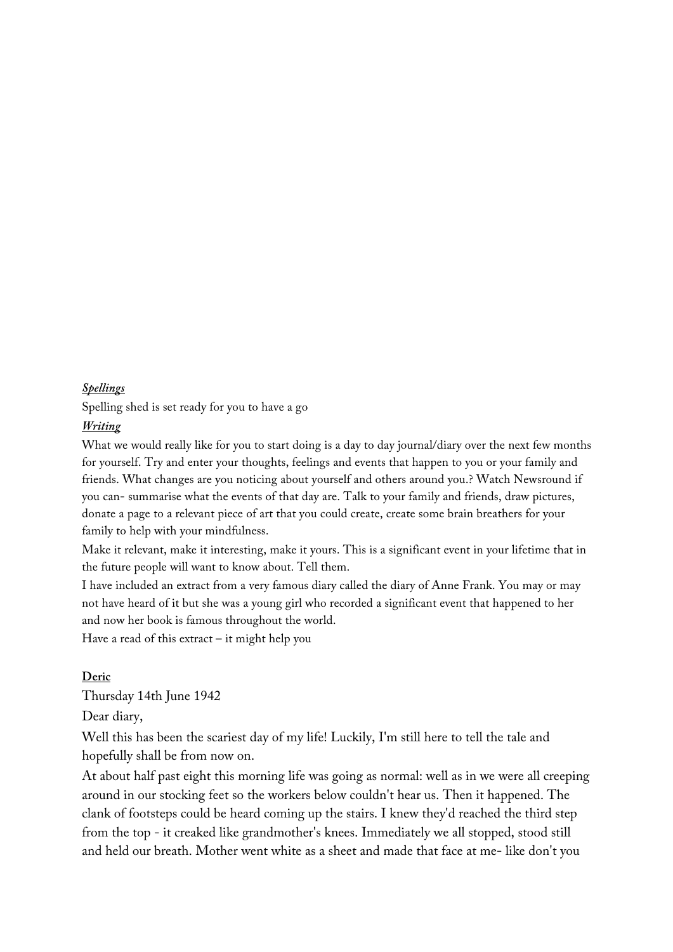#### *Spellings*

Spelling shed is set ready for you to have a go

## *Writing*

What we would really like for you to start doing is a day to day journal/diary over the next few months for yourself. Try and enter your thoughts, feelings and events that happen to you or your family and friends. What changes are you noticing about yourself and others around you.? Watch Newsround if you can- summarise what the events of that day are. Talk to your family and friends, draw pictures, donate a page to a relevant piece of art that you could create, create some brain breathers for your family to help with your mindfulness.

Make it relevant, make it interesting, make it yours. This is a significant event in your lifetime that in the future people will want to know about. Tell them.

I have included an extract from a very famous diary called the diary of Anne Frank. You may or may not have heard of it but she was a young girl who recorded a significant event that happened to her and now her book is famous throughout the world.

Have a read of this extract – it might help you

## **Deric**

Thursday 14th June 1942

Dear diary,

Well this has been the scariest day of my life! Luckily, I'm still here to tell the tale and hopefully shall be from now on.

At about half past eight this morning life was going as normal: well as in we were all creeping around in our stocking feet so the workers below couldn't hear us. Then it happened. The clank of footsteps could be heard coming up the stairs. I knew they'd reached the third step from the top - it creaked like grandmother's knees. Immediately we all stopped, stood still and held our breath. Mother went white as a sheet and made that face at me- like don't you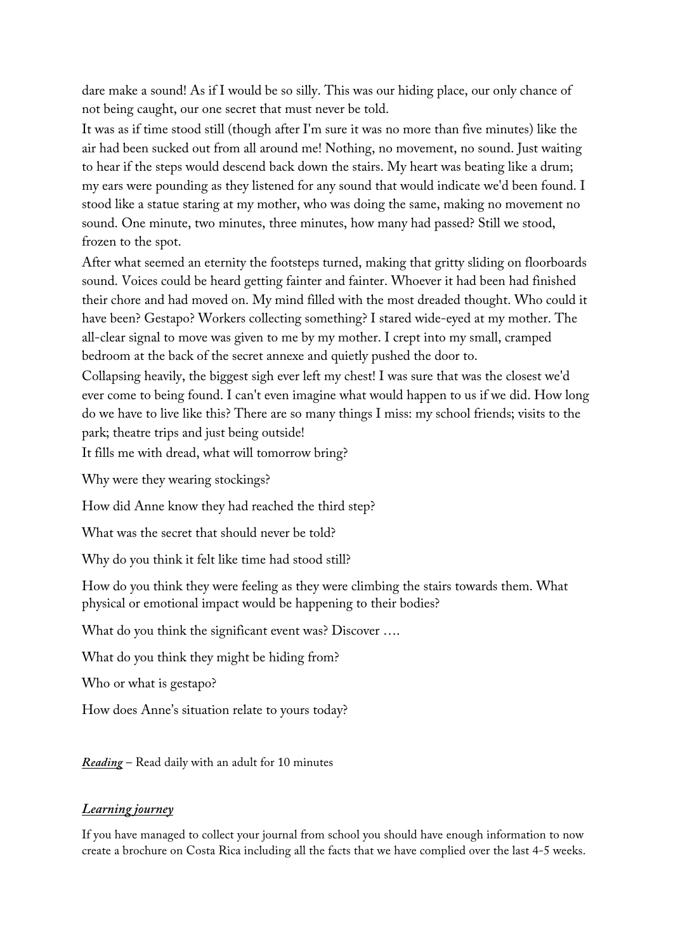dare make a sound! As if I would be so silly. This was our hiding place, our only chance of not being caught, our one secret that must never be told.

It was as if time stood still (though after I'm sure it was no more than five minutes) like the air had been sucked out from all around me! Nothing, no movement, no sound. Just waiting to hear if the steps would descend back down the stairs. My heart was beating like a drum; my ears were pounding as they listened for any sound that would indicate we'd been found. I stood like a statue staring at my mother, who was doing the same, making no movement no sound. One minute, two minutes, three minutes, how many had passed? Still we stood, frozen to the spot.

After what seemed an eternity the footsteps turned, making that gritty sliding on floorboards sound. Voices could be heard getting fainter and fainter. Whoever it had been had finished their chore and had moved on. My mind filled with the most dreaded thought. Who could it have been? Gestapo? Workers collecting something? I stared wide-eyed at my mother. The all-clear signal to move was given to me by my mother. I crept into my small, cramped bedroom at the back of the secret annexe and quietly pushed the door to.

Collapsing heavily, the biggest sigh ever left my chest! I was sure that was the closest we'd ever come to being found. I can't even imagine what would happen to us if we did. How long do we have to live like this? There are so many things I miss: my school friends; visits to the park; theatre trips and just being outside!

It fills me with dread, what will tomorrow bring?

Why were they wearing stockings?

How did Anne know they had reached the third step?

What was the secret that should never be told?

Why do you think it felt like time had stood still?

How do you think they were feeling as they were climbing the stairs towards them. What physical or emotional impact would be happening to their bodies?

What do you think the significant event was? Discover ....

What do you think they might be hiding from?

Who or what is gestapo?

How does Anne's situation relate to yours today?

*Reading* – Read daily with an adult for 10 minutes

## *Learning journey*

If you have managed to collect your journal from school you should have enough information to now create a brochure on Costa Rica including all the facts that we have complied over the last 4-5 weeks.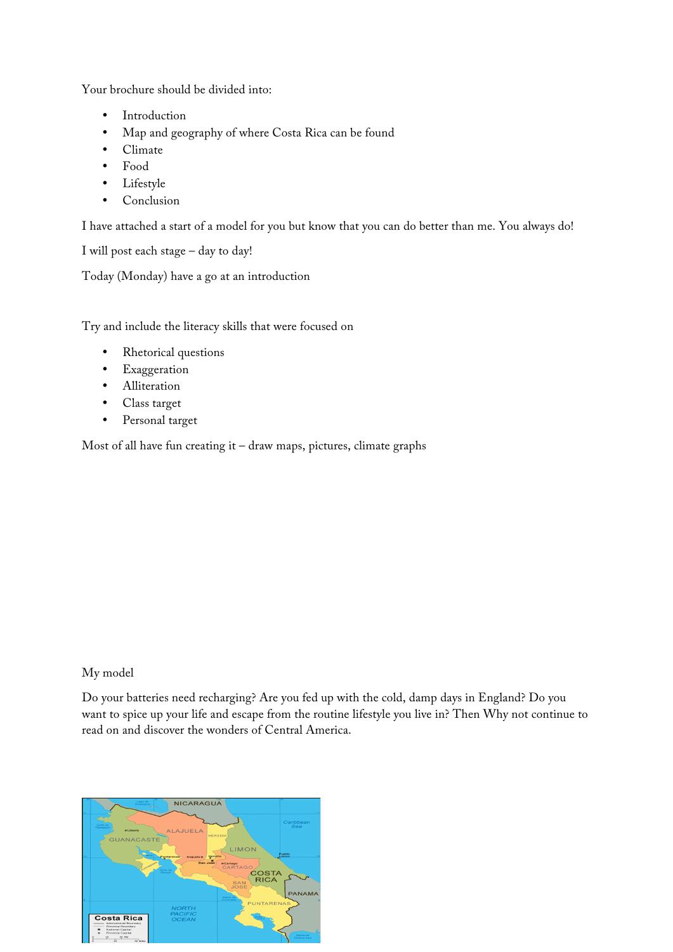Your brochure should be divided into:

- Introduction
- Map and geography of where Costa Rica can be found
- Climate
- Food
- Lifestyle
- **Conclusion**

I have attached a start of a model for you but know that you can do better than me. You always do!

```
I will post each stage – day to day!
```
Today (Monday) have a go at an introduction

Try and include the literacy skills that were focused on

- Rhetorical questions
- **Exaggeration**
- Alliteration
- Class target
- Personal target

Most of all have fun creating it – draw maps, pictures, climate graphs

#### My model

Do your batteries need recharging? Are you fed up with the cold, damp days in England? Do you want to spice up your life and escape from the routine lifestyle you live in? Then Why not continue to read on and discover the wonders of Central America.